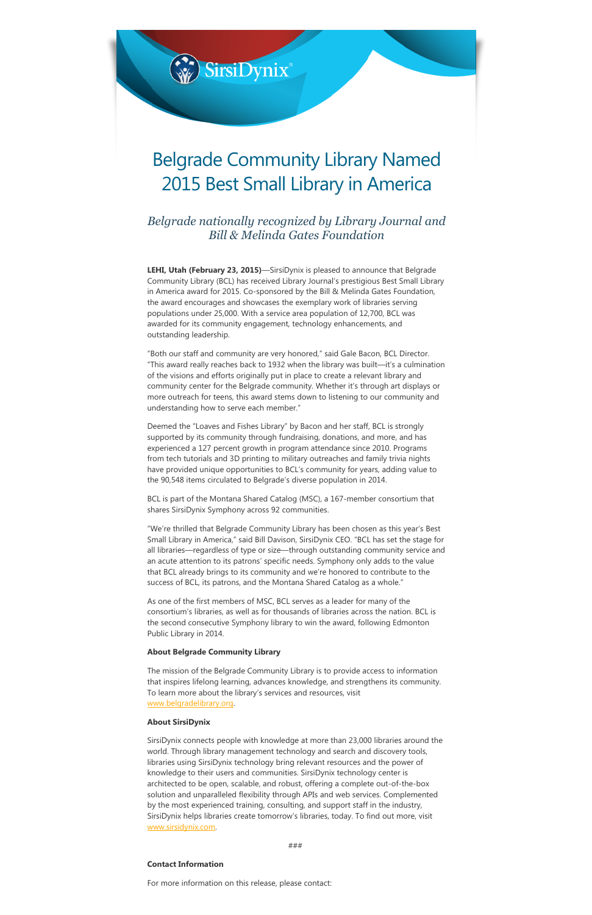

Belgrade nationally recognized by Library Journal and Bill & Melinda Gates Foundation

**LEHI, Utah (February 23, 2015)**—SirsiDynix is pleased to announce that Belgrade Community Library (BCL) has received Library Journal's prestigious Best Small Library in America award for 2015. Co-sponsored by the Bill & Melinda Gates Foundation, the award encourages and showcases the exemplary work of libraries serving populations under 25,000. With a service area population of 12,700, BCL was awarded for its community engagement, technology enhancements, and outstanding leadership.

BCL is part of the Montana Shared Catalog (MSC), a 167-member consortium that shares SirsiDynix Symphony across 92 communities.

"Both our staff and community are very honored," said Gale Bacon, BCL Director. "This award really reaches back to 1932 when the library was built—it's a culmination of the visions and efforts originally put in place to create a relevant library and community center for the Belgrade community. Whether it's through art displays or more outreach for teens, this award stems down to listening to our community and understanding how to serve each member."

Deemed the "Loaves and Fishes Library" by Bacon and her staff, BCL is strongly supported by its community through fundraising, donations, and more, and has experienced a 127 percent growth in program attendance since 2010. Programs from tech tutorials and 3D printing to military outreaches and family trivia nights have provided unique opportunities to BCL's community for years, adding value to the 90,548 items circulated to Belgrade's diverse population in 2014.

"We're thrilled that Belgrade Community Library has been chosen as this year's Best Small Library in America," said Bill Davison, SirsiDynix CEO. "BCL has set the stage for all libraries—regardless of type or size—through outstanding community service and an acute attention to its patrons' specific needs. Symphony only adds to the value that BCL already brings to its community and we're honored to contribute to the success of BCL, its patrons, and the Montana Shared Catalog as a whole."

As one of the first members of MSC, BCL serves as a leader for many of the consortium's libraries, as well as for thousands of libraries across the nation. BCL is the second consecutive Symphony library to win the award, following Edmonton Public Library in 2014.

## About Belgrade Community Library

The mission of the Belgrade Community Library is to provide access to information

that inspires lifelong learning, advances knowledge, and strengthens its community. To learn more about the library's services and resources, visit [www.belgradelibrary.org](http://www.belgradelibrary.org/).

## About SirsiDynix

SirsiDynix connects people with knowledge at more than 23,000 libraries around the world. Through library management technology and search and discovery tools, libraries using SirsiDynix technology bring relevant resources and the power of knowledge to their users and communities. SirsiDynix technology center is architected to be open, scalable, and robust, offering a complete out‐of‐the‐box solution and unparalleled flexibility through APIs and web services. Complemented by the most experienced training, consulting, and support staff in the industry, SirsiDynix helps libraries create tomorrow's libraries, today. To find out more, visit [www.sirsidynix.com](http://www.sirsidynix.com/).

###

## Contact Information

For more information on this release, please contact: